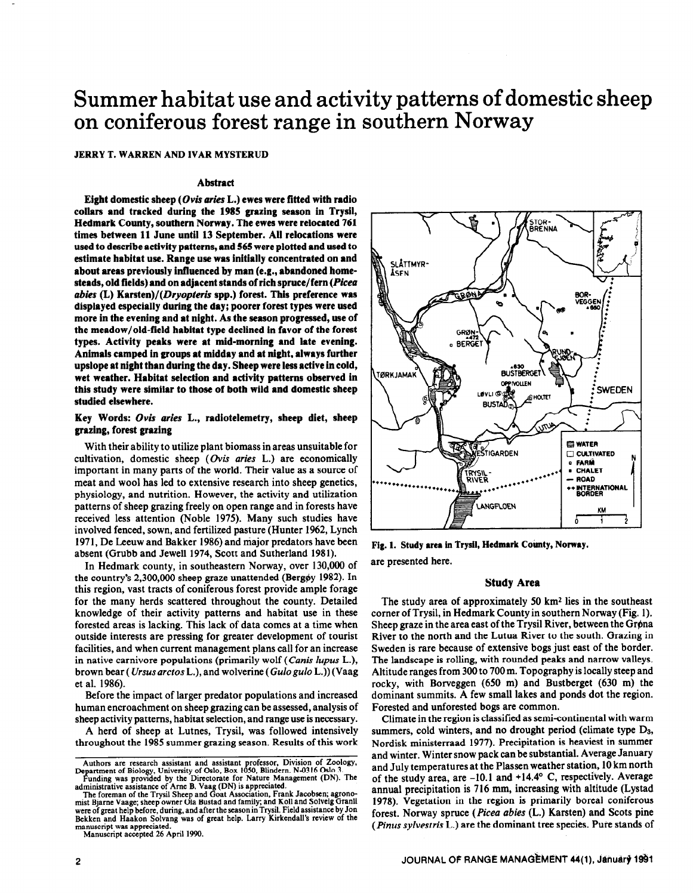# **Summer habitat use and activity patterns of domestic sheep on coniferous forest range in southern Norway**

**JERRY T. WARREN AND IVAR MYSTERUD** 

#### **Abstract**

**Eight domestic sheep (Ovis aries L.) ewes were fitted with radio** collars and tracked during the 1985 grazing season in Trysil, **Hedmark County, southern Norway. The ewes were relocated 761 times between 11 June until 13 September. All relocations were used to describe activity patterns, and 565 were plotted and used to estimate habitat use. Range use was initially concentrated on and**  about areas previously influenced by man (e.g., abandoned home**steads, old fields) and on adjacent stands of rich spruce/fern (Piceu &es (L) Karsten)/(Dryopleris spp.) forest. This preference was displayed especially during the day; poorer forest types were used more in the evening and at night. As the season progressed, use of the meadow/old-field habitat type declined in favor of the forest types. Activity peaks were at mid-morning and** late **evening. Animals camped in groups at midday and at night, always further upslope at night than during the** day. **Sheep were less active in cold, wet weather. Habitat selection and activity patterns observed in this study were similar to those of both wild** and domestic **sheep studied elsewhere.** 

## Key Words: Ovis aries L., radiotelemetry, sheep diet, sheep **grazing, forest grazing**

With their ability to utilize plant biomass in areas unsuitable for cultivation, domestic sheep (Ovis aries L.) are economically important in many parts of the world. Their value as a source of meat and wool has led to extensive research into sheep genetics, physiology, and nutrition. However, the activity and utilization patterns of sheep grazing freely on open range and in forests have received less attention (Noble 1975). Many such studies have involved fenced, sown, and fertilized pasture (Hunter 1962, Lynch 1971, De Leeuw and Bakker 1986) and major predators have been absent (Grubb and Jewell 1974, Scott and Sutherland 1981).

In Hedmark county, in southeastern Norway, over 130,000 of the country's 2,300,000 sheep graze unattended (Bergøy 1982). In this region, vast tracts of coniferous forest provide ample forage for the many herds scattered throughout the county. Detailed knowledge of their activity patterns and habitat use in these forested areas is lacking. This lack of data comes at a time when outside interests are pressing for greater development of tourist facilities, and when current management plans call for an increase in native carnivore populations (primarily wolf *(Canis lupus L.)*, brown bear ( *Ursus arctos* L.), and wolverine (Gulogulo L.)) (Vaag et al. 1986).

Before the impact of larger predator populations and increased human encroachment on sheep grazing can be assessed, analysis of sheep activity patterns, habitat selection, and range use is necessary.

A herd of sheep at Lutnes, Trysil, was followed intensively throughout the 1985 summer grazing season. Results of this work

**Manuscript accepted 26 April 1990.** 



Fig. 1. Study area in Trysil, Hedmark County, Norway. are presented here.

# **Study Area**

**The** study area of approximately 50 km2 lies in the southeast corner of Trysil, in Hedmark County in southern Norway (Fig. 1). Sheep graze in the area east of the Trysil River, between the Grona River to the north and the Lutua River to the south. Grazing in Sweden is rare because of extensive bogs just east of the border. The landscape is rolling, with rounded peaks and narrow valleys. Altitude ranges from 300 to 700 m. Topography is locally steep and rocky, with Borveggen (650 m) and Bustberget (630 m) the dominant summits. A few small lakes and ponds dot the region. Forested and unforested bogs are common.

Climate in the region is classified as semi-continental with warm summers, cold winters, and no drought period (climate type  $D_3$ , Nordisk ministerraad 1977). Precipitation is heaviest in summer and winter. Winter snow pack can be substantial. Average January and July temperatures at the Plassen weather station, 10 km north of the study area, are -10.1 and +14.4' C, respectively. Average annual precipitation is 716 mm, increasing with altitude (Lystad 1978). Vegetation in the region is primarily boreal coniferous forest. Norway spruce (*Picea abies* (L.) Karsten) and Scots pine (*Pinus sylvestris* L.) are the dominant tree species. Pure stands of

**Authors are research assistant and assistant professor, Division of zoology, Department of Biology, University of Oslo, Box 1050, Blindern. N-03 16 Oslo 3. Funding was provided by the Directorate for Nature Management (DN). The** 

**administrative assistance of Ame B. Vaag (DN) is appreciated. The foreman of the Trysil Sheep and Goat Association, Frank Jacobsen; agronomist Bjarne Vaage; sheep owner Ola Bustad and family; and Koll and Solveig Granli were of great help before, during, and after the season in Trysil. Field assistance by Jon Bekken and Haakon Solvang was of great help. Larry Kirkendall's review of the manuscript was appreciated.**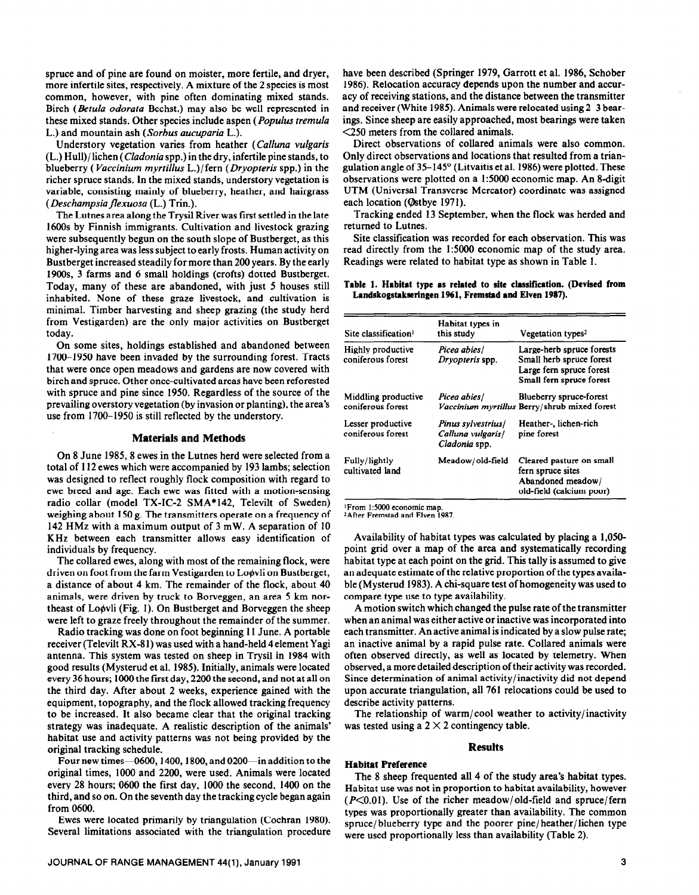more infertile sites, respectively. A mixture of the 2 species is most 1986). Relocation accuracy depends upon the number and accur-<br>common, however, with pine often dominating mixed stands, acy of receiving stations, and common, however, with pine often dominating mixed stands. Birch *(Betula odorata* Bechst.) may also be well represented in and receiver (White 1985). Animals were relocated using 2-3 bearthese mixed stands. Other species include aspen *(Populus tremula* ings. Since sheep are easily approached, most bearings were taken<br>L.) and mountain ash *(Sorbus aucuparia* L.). <br><250 meters from the collared animals. L.) and mountain ash (Sorbus *aucuparia* L.).

Understory vegetation varies from heather *(Calluna vulgaris*  (L.) Hull)/ lichen *(Cladonia* spp.) in the dry, infertile pine stands, to blueberry ( *Vaccinium myrtillus* L.)/fern *(Dryopteris* spp.) in the richer spruce stands. In the mixed stands, understory vegetation is variable, consisting mainly of blueberry, heather, and hairgrass *(Deschampsia flexuosa (L.)* Trin.).

The Lutnes area along the Trysil River was first settled in the late 1600s by Finnish immigrants. Cultivation and livestock grazing were subsequently begun on the south slope of Bustberget, as this higher-lying area was less subject to early frosts. Human activity on Bustberget increased steadily for more than 200 years. By the early 19OOs, 3 farms and 6 small holdings (crofts) dotted Bustberget. Today, many of these are abandoned, with just 5 houses still inhabited. None of these graze livestock, and cultivation is minimal. Timber harvesting and sheep grazing (the study herd from Vestigarden) are the only major activities on Bustberget today.

On some sites, holdings established and abandoned between 1700-1950 have been invaded by the surrounding forest. Tracts that were once open meadows and gardens are now covered with birch and spruce. Other once-cultivated areas have been reforested with spruce and pine since 1950. Regardless of the source of the prevailing overstory vegetation (by invasion or planting), the area's use from 1700-1950 is still reflected by the understory.

#### **Materials and Methods**

On 8 June 1985, 8 ewes in the Lutnes herd were selected from a total of 112 ewes which were accompanied by 193 lambs; selection was designed to reflect roughly flock composition with regard to ewe breed and age. Each ewe was fitted with a motion-sensing radio collar (model TX-IC-2 SMA\*142, Televilt of Sweden) weighing about 150 g. The transmitters operate on a frequency of 142 HMz with a maximum output of 3 mW. A separation of 10 KHz between each transmitter allows easy identification of individuals by frequency.

The collared ewes, along with most of the remaining flock, were driven on foot from the farm Vestigarden to Loovli on Bustberget, a distance of about 4 km. The remainder of the flock, about 40 animals, were driven by truck to Borveggen, an area 5 km northeast of Loøvli (Fig. 1). On Bustberget and Borveggen the sheep were left to graze freely throughout the remainder of the summer.

Radio tracking was done on foot beginning 11 June. A portable receiver (Televilt RX-8 1) was used with a hand-held 4 element Yagi antenna. This system was tested on sheep in Trysil in 1984 with good results (Mysterud et al. 1985). Initially, animals were located every 36 hours; *1000* the first day, 2200 the second, and not at all on the third day. After about 2 weeks, experience gained with the equipment, topography, and the flock allowed tracking frequency to be increased. It also became clear that the original tracking strategy was inadequate. A realistic description of the animals' habitat use and activity patterns was not being provided by the original tracking schedule.

Four new times-0600,1400,1800, and 0200-in addition to the original times, 1000 and 2200, were used. Animals were located every 28 hours; 0600 the first day, 1000 the second, 1400 on the third, and so on. On the seventh day the tracking cycle began again from 0600.

Ewes were located primarily by triangulation (Cochran 1980). Several limitations associated with the triangulation procedure

spruce and of pine are found on moister, more fertile, and dryer, have been described (Springer 1979, Garrott et al. 1986, Schober more infertile sites, respectively. A mixture of the 2 species is most 1986). Relocation ac

Direct observations of collared animals were also common. Only direct observations and locations that resulted from a triangulation angle of  $35-145^\circ$  (Litvaitis et al. 1986) were plotted. These observations were plotted on a 1:5000 economic map. An g-digit UTM (Universal Transverse Mercator) coordinate was assigned each location (Qstbye 1971).

Tracking ended 13 September, when the flock was herded and returned to Lutnes.

Site classification was recorded for each observation. This was read directly from the 1:5000 economic map of the study area. Readings were related to habitat type as shown in Table 1.

#### **Table 1. Habitat type as related to site classification. (Devised from Landskogstakseringen l%l, Fremstad and Elven 1987).**

| Site classification <sup>1</sup>         | Habitat types in<br>this study                           | Vegetation types <sup>2</sup>                                                                                 |
|------------------------------------------|----------------------------------------------------------|---------------------------------------------------------------------------------------------------------------|
| Highly productive<br>coniferous forest   | Picea abies/<br>Dryopteris spp.                          | Large-herb spruce forests<br>Small herb spruce forest<br>Large fern spruce forest<br>Small fern spruce forest |
| Middling productive<br>coniferous forest | Picea abies/                                             | Blueberry spruce-forest<br>Vaccinium myrtillus Berry/shrub mixed forest                                       |
| Lesser productive<br>coniferous forest   | Pinus sylvestrius/<br>Calluna vulgaris/<br>Cladonia spp. | Heather-, lichen-rich<br>pine forest                                                                          |
| Fully/lightly<br>cultivated land         | Meadow/old-field                                         | Cleared pasture on small<br>fern spruce sites<br>Abandoned meadow/<br>old-field (calcium poor)                |

'From I:5000 economic map. \*After Fremstad and Elven 1987.

Availability of habitat types was calculated by placing a 1,050 point grid over a map of the area and systematically recording habitat type at each point on the grid. This tally is assumed to give an adequate estimate of the relative proportion of the types available (Mysterud 1983). A chi-square test of homogeneity was used to compare type use to type availability.

A motion switch which changed the pulse rate of the transmitter when an animal was either active or inactive was incorporated into each transmitter. An active animal is indicated by a slow pulse rate; an inactive animal by a rapid pulse rate. Collared animals were often observed directly, as well as located by telemetry. When observed, a more detailed description of their activity was recorded. Since determination of animal activity/inactivity did not depend upon accurate triangulation, all 761 relocations could be used to describe activity patterns.

The relationship of warm/cool weather to activity/ inactivity was tested using a  $2 \times 2$  contingency table.

#### **Results**

#### **Habitat Preference**

The 8 sheep frequented all 4 of the study area's habitat types. Habitat use was not in proportion to habitat availability, however *(P<O.Ol). Use* of the richer meadow/old-field and spruce/fern types was proportionally greater than availability. The common spruce/ blueberry type and the poorer pine/ heather/lichen type were used proportionally less than availability (Table 2).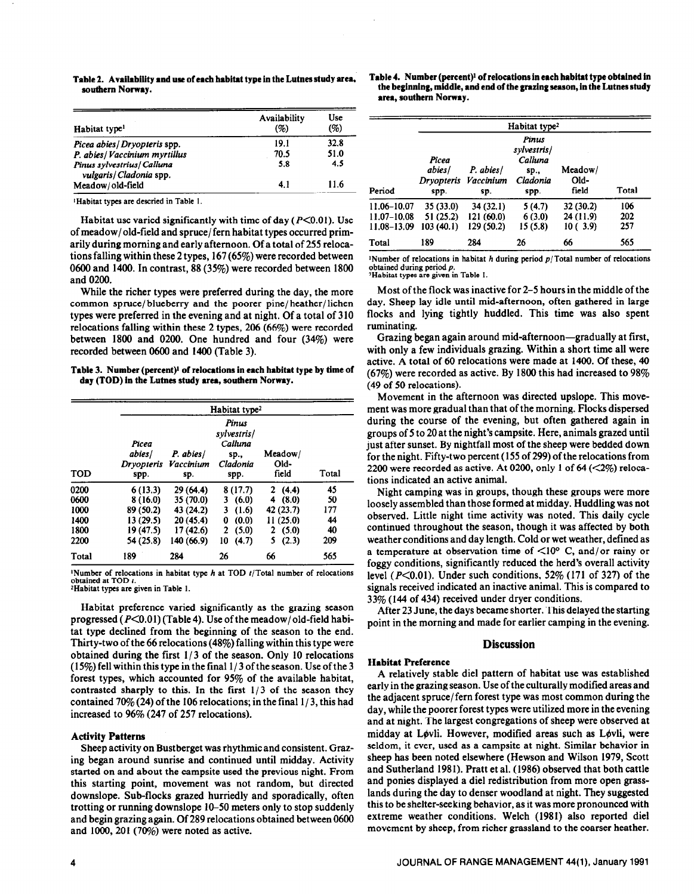Table 2. Availability and use of each habitat **type in the Lutnes study area, southern Norway.** 

| Habitat type <sup>1</sup>                            | Availability<br>(%) | Use<br>(%) |
|------------------------------------------------------|---------------------|------------|
| Picea abies/Dryopteris spp.                          | 19.1                | 32.8       |
| P. abies/Vaccinium myrtillus                         | 70.5                | 51.0       |
| Pinus sylvestrius/ Calluna<br>vulgaris/Cladonia spp. | 5.8                 | 4.5        |
| Meadow/old-field                                     | 4.1                 | 11.6       |

**1 Habitat types arc descried in Table** I.

Habitat use varied significantly with time of day  $(P<0.01)$ . Use of meadow/ old-field and spruce/ fern habitat types occurred primarily during morning and early afternoon. Of a total of 255 relocations falling within these 2 types, 167 (65%) were recorded between 0600 and 1400. In contrast, 88 (35%) were recorded between 1800 and 0200.

While the richer types were preferred during the day, the more common spruce/ blueberry and the poorer pine/ heather/lichen types were preferred in the evening and at night. Of a total of 3 10 relocations falling within these 2 types, 206 (66%) were recorded between 1800 and 0200. One hundred and four (34%) were recorded between 0600 and 1400 (Table 3).

Table 3. **Number (percent)' of relocations in each habitat type by time of day** (TOD) **in the** Lutnes **study area, southern Norway.** 

|            | Habitat type <sup>2</sup>             |                               |                                                             |                          |       |
|------------|---------------------------------------|-------------------------------|-------------------------------------------------------------|--------------------------|-------|
| <b>TOD</b> | Picea<br>abies/<br>Dryopteris<br>spp. | P. abies/<br>Vaccinium<br>sp. | Pinus<br>sylvestris/<br>Calluna<br>sp.,<br>Cladonia<br>spp. | Meadow/<br>Old-<br>field | Total |
| 0200       | 6(13.3)                               | 29 (64.4)                     | 8(17.7)                                                     | 2(4.4)                   | 45    |
| 0600       | 8 (16.0)                              | 35 (70.0)                     | (6.0)<br>3.                                                 | 4(8.0)                   | 50    |
| 1000       | 89 (50.2)                             | 43 (24.2)                     | (1.6)<br>3                                                  | 42 (23.7)                | 177   |
| 1400       | 13 (29.5)                             | 20(45.4)                      | (0.0)<br>0                                                  | 11(25.0)                 | 44    |
| 1800       | 19 (47.5)                             | 17(42.6)                      | (5.0)<br>2                                                  | (5.0)<br>2               | 40    |
| 2200       | 54 (25.8)                             | 140 (66.9)                    | (4.7)<br>10                                                 | (2.3)<br>5               | 209   |
| Total      | 189                                   | 284                           | 26                                                          | 66                       | 565   |

**~Numher of relocations in habitat type** *h* **at TOD ~/Total number of relocations tained at TOD a** 

**Wabitat types arc given in** Table 1.

Habitat preference varied significantly as the grazing season progressed ( $P \le 0.01$ ) (Table 4). Use of the meadow/old-field habitat type declined from the beginning of the season to the end. Thirty-two of the 66 relocations (48%) falling within this type were obtained during the first l/3 of the season. Only 10 relocations (15%) fell within this type in the final  $1/3$  of the season. Use of the 3 forest types, which accounted for 95% of the available habitat, contrasted sharply to this. In the first l/3 of the season they contained 70% (24) of the 106 relocations; in the final l/ 3, this had increased to 96% (247 of 257 relocations).

#### **Activity Patterns**

Sheep activity on Bustberget was rhythmic and consistent. Grazing began around sunrise and continued until midday. Activity started on and about the campsite used the previous night. From this starting point, movement was not random, but directed downslope. Sub-flocks grazed hurriedly and sporadically, often trotting or running downslope 10-50 meters only to stop suddenly and begin grazing again. Of 289 relocations obtained between 0600 and 1000, 201 (70%) were noted as active.

Table 4. Number (percent)<sup>1</sup> of relocations in each habitat type obtained in **the beginning, middle, and end of the grazing season, in the Lutnes study area, southern Norway.** 

|                                           | Habitat type <sup>2</sup>          |                                          |                                                             |                                   |                   |
|-------------------------------------------|------------------------------------|------------------------------------------|-------------------------------------------------------------|-----------------------------------|-------------------|
| Period                                    | Picea<br>abies/<br>spp.            | P. abies/<br>Dryopteris Vaccinium<br>sp. | Pinus<br>sylvestris/<br>Calluna<br>sp.,<br>Cladonia<br>spp. | Meadow/<br>Old-<br>field          | Total             |
| 11.06-10.07<br>11.07-10.08<br>11.08-13.09 | 35(33.0)<br>51 (25.2)<br>103(40.1) | 34 (32.1)<br>121 (60.0)<br>129 (50.2)    | 5(4.7)<br>6(3.0)<br>15 (5.8)                                | 32 (30.2)<br>24 (11.9)<br>10(3.9) | 106<br>202<br>257 |
| Total                                     | 189                                | 284                                      | 26                                                          | 66                                | 565               |

'Number of relocations in habitat *h* **during period p/Total number of relocations obtained during period p. ZHabitat types are given in Table 1.** 

Most of the flock was inactive for 2-5 hours in the middle of the day. Sheep lay idle until mid-afternoon, often gathered in large flocks and lying tightly huddled. This time was also spent ruminating.

Grazing began again around mid-afternoon-gradually at first, with only a few individuals grazing. Within a short time all were active. A total of 60 relocations were made at 1400. Of these, 40 (67%) were recorded as active. By 1800 this had increased to  $98\%$ (49 of 50 relocations).

Movement in the afternoon was directed upslope. This movement was more gradual than that of the morning. Flocks dispersed during the course of the evening, but often gathered again in groups of 5 to 20at the night's campsite. Here, animals grazed until just after sunset. By nightfall most of the sheep were bedded down for the night. Fifty-two percent (155 of 299) of the relocations from 2200 were recorded as active. At 0200, only 1 of  $64$  ( $\leq$ 2%) relocations indicated an active animal.

Night camping was in groups, though these groups were more loosely assembled than those formed at midday. Huddling was not observed. Little night time activity was noted. This daily cycle continued throughout the season, though it was affected by both weather conditions and day length. Cold or wet weather, defined as a temperature at observation time of  $\langle 10^\circ \text{ C}$ , and/or rainy or foggy conditions, significantly reduced the herd's overall activity level ( $P<0.01$ ). Under such conditions, 52% (171 of 327) of the signals received indicated an inactive animal. This is compared to 33% (144 of 434) received under dryer conditions.

After 23 June, the days became shorter. This delayed the starting point in the morning and made for earlier camping in the evening.

#### **Discussion**

## **Habitat Preference**

**A** relatively stable die1 pattern of habitat use was established early in the grazing season. Use of the culturally modified areas and the adjacent spruce/fern forest type was most common during the day, while the poorer forest types were utilized more in the evening and at night. The largest congregations of sheep were observed at midday at Løvli. However, modified areas such as Løvli, were seldom, it ever, used as a campsite at night. Similar behavior in sheep has been noted elsewhere (Hewson and Wilson 1979, Scott and Sutherland 1981). Pratt et al. (1986) observed that both cattle and ponies displayed a die1 redistribution from more open grasslands during the day to denser woodland at night. They suggested this to be shelter-seeking behavior, as it was more pronounced with extreme weather conditions. Welch (1981) also reported die1 movement by sheep, from richer grassland to the coarser heather.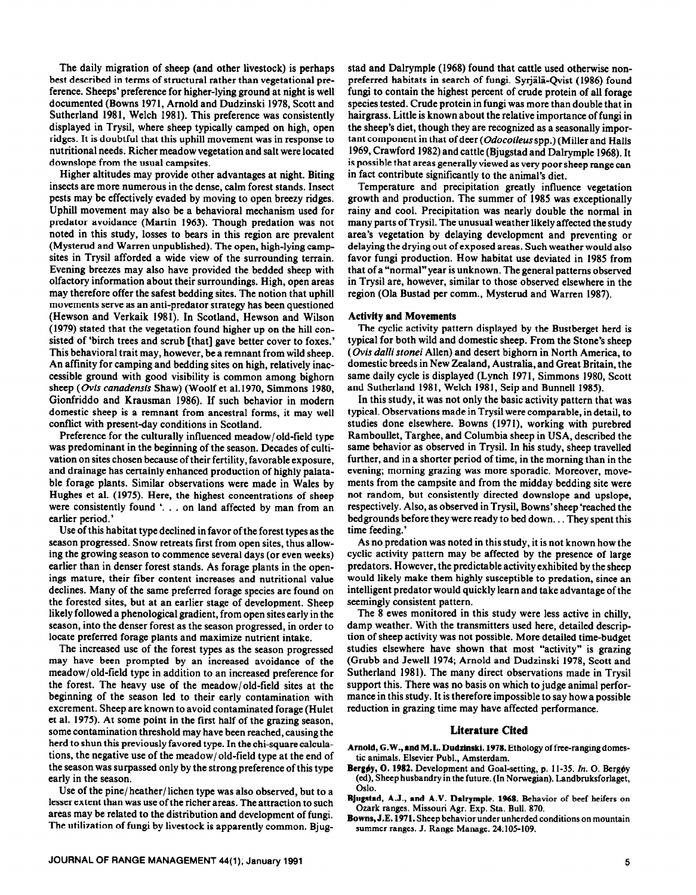The daily migration of sheep (and other livestock) is perhaps best described in terms of structural rather than vegetational preference. Sheeps' preference for higher-lying ground at night is well documented (Bowns 1971, Arnold and Dudzinski 1978, Scott and Sutherland 1981, Welch 1981). This preference was consistently displayed in Trysil, where sheep typically camped on high, open ridges. It is doubtful that this uphill movement was in response to nutritional needs. Richer meadow vegetation and salt were located downslope from the usual campsites.

Higher altitudes may provide other advantages at night. Biting insects are more numerous in the dense, calm forest stands. Insect pests may be effectively evaded by moving to open breezy ridges. Uphill movement may also be a behavioral mechanism used for predator avoidance (Martin 1963). Though predation was not noted in this study, losses to bears in this region are prevalent (Mysterud and Warren unpublished). The open, high-lying campsites in Trysil afforded a wide view of the surrounding terrain. Evening breezes may also have provided the bedded sheep with olfactory information about their surroundings. High, open areas may therefore offer the safest bedding sites. The notion that uphill movements serve as an anti-predator strategy has been questioned (Hewson and Verkaik 1981). In Scotland, Hewson and Wilson (1979) stated that the vegetation found higher up on the hill consisted of 'birch trees and scrub [that] gave better cover to foxes.' This behavioral trait may, however, be a remnant from wild sheep. An affinity for camping and bedding sites on high, relatively inaccessible ground with good visibility is common among bighorn sheep *(Ovis cunadensis* Shaw) (Woolf et a1.1970, Simmons 1980, Gionfriddo and Krausman 1986). If such behavior in modern domestic sheep is a remnant from ancestral forms, it may well conflict with present-day conditions in Scotland.

Preference for the culturally influenced meadow/ old-field type was predominant in the beginning of the season. Decades of cultivation on sites chosen because of their fertility, favorable exposure, and drainage has certainly enhanced production of highly palatable forage plants. Similar observations were made in Wales by Hughes et al. (1975). Here, the highest concentrations of sheep were consistently found '. . . on land affected by man from an earlier period.'

Use of this habitat type declined in favor of the forest types as the season progressed. Snow retreats first from open sites, thus allowing the growing season to commence several days (or even weeks) earlier than in denser forest stands. As forage plants in the openings mature, their fiber content increases and nutritional value declines. Many of the same preferred forage species are found on the forested sites, but at an earlier stage of development. Sheep likely followed a phenological gradient, from open sites early in the season, into the denser forest as the season progressed, in order to locate preferred forage plants and maximize nutrient intake.

The increased use of the forest types as the season progressed may have been prompted by an increased avoidance of the meadow/ old-field type in addition to an increased preference for the forest. The heavy use of the meadow/old-field sites at the beginning of the season led to their early contamination with excrement. Sheep are known to avoid contaminated forage (Hulet et al. 1975). At some point in the first half of the grazing season, some contamination threshold may have been reached, causing the herd to shun this previously favored type. In the chi-square calculations, the negative use of the meadow/ old-field type at the end of the season was surpassed only by the strong preference of this type early in the season.

Use of the pine/ heather/lichen type was also observed, but to a lesser extent than was use of the richer areas. The attraction to such areas may be related to the distribution and development of fungi. The utilization of fungi by livestock is apparently common. Bjug-

stad and Dalrymple (1968) found that cattle used otherwise nonpreferred habitats in search of fungi. Syrjälä-Qvist (1986) found fungi to contain the highest percent of crude protein of all forage species tested. Crude protein in fungi was more than double that in hairgrass. Little is known about the relative importance of fungi in the sheep's diet, though they are recognized as a seasonally important component in that of deer *(Odocoileus* spp.) (Miller and Halls 1969, Crawford 1982) and cattle (Bjugstad and Dalrymple 1968). It is possible that areas generally viewed as very poor sheep range can in fact contribute significantly to the animal's diet.

Temperature and precipitation greatly influence vegetation growth and production. The summer of 1985 was exceptionally rainy and cool. Precipitation was nearly double the normal in many parts of Trysil. The unusual weather likely affected the study area's vegetation by delaying development and preventing or delaying the drying out of exposed areas. Such weather would also favor fungi production. How habitat use deviated in 1985 from that of **a"norma1" year** is unknown. The general patterns observed in Trysil are, however, similar to those observed elsewhere in the region (Ola Bustad per comm., Mysterud and Warren 1987).

#### **Activity and Movements**

The cyclic activity pattern displayed by the Bustberget herd is typical for both wild and domestic sheep. From the Stone's sheep ( *Ovis dalli stonei* Allen) and desert bighorn in North America, to domestic breeds in New Zealand, Australia, and Great Britain, the same daily cycle is displayed (Lynch 1971, Simmons 1980, Scott and Sutherland 1981, Welch 1981, Seip and Bunnell 1985).

In this study, it was not only the basic activity pattern that was typical. Observations made in Trysil were comparable, in detail, to studies done elsewhere. Bowns (1971), working with purebred Ramboullet, Targhee, and Columbia sheep in USA, described the same behavior as observed in Trysil. In his study, sheep travelled further, and in a shorter period of time, in the morning than in the evening; morning grazing was more sporadic. Moreover, movements from the campsite and from the midday bedding site were not random, but consistently directed downslope and upslope, respectively. Also, as observed in Trysil, Bowns'sheep 'reached the bedgrounds before they were ready to bed down. . . They spent this time feeding.'

As no predation was noted in this study, it is not known how the cyclic activity pattern may be affected by the presence of large predators. However, the predictable activity exhibited by the sheep would likely make them highly susceptible to predation, since an intelligent predator would quickly learn and take advantage of the seemingly consistent pattern.

The 8 ewes monitored in this study were less active in chilly, damp weather. With the transmitters used here, detailed description of sheep activity was not possible. More detailed time-budget studies elsewhere have shown that most "activity" is grazing (Grubb and Jewel1 1974; Arnold and Dudzinski 1978, Scott and Sutherland 1981). The many direct observations made in Trysil support this. There was no basis on which to judge animal performance in this study. It is therefore impossible to say how a possible reduction in grazing time may have affected performance.

#### **Literature Cited**

- Arnold, G.W., and M.L. Dudzinski. 1978. Ethology of free-ranging domes**tic animals. Elsevier Publ., Amsterdam.**
- Bergøy, O. 1982. Development and Goal-setting, p. 11-35. *In.* O. Bergøy **(ed), Sheep husbandry in the future. (In Norwegian). Landbruksforlaget, Oslo.**
- **Bjugstad, A.J.,** and **A.V. Dalrymple. 1968. Behavior of beef heifers on Ozark ranges. Missouri Agr. Exp. Sta. Bull. 870.**
- **Bowns, J.E. 1971. Sheep behavior under unherded conditions on mountain summer ranges. J. Range Manage. 24105-109.**